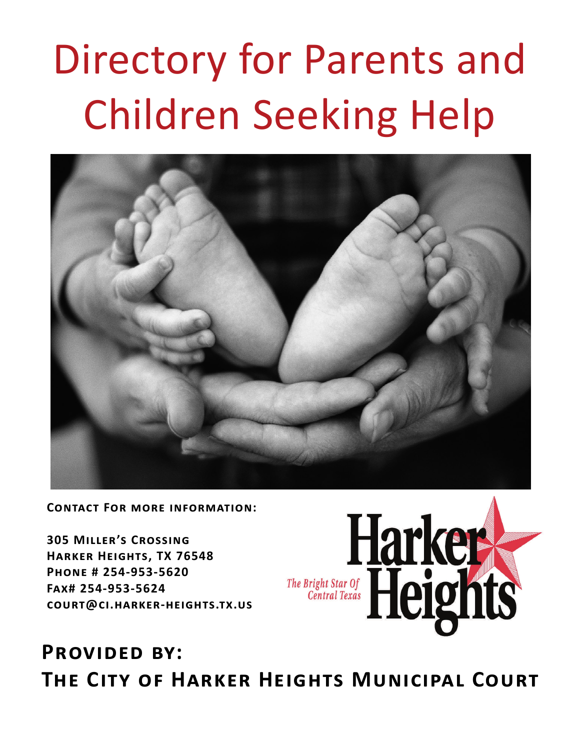# **Directory for Parents and Children Seeking Help**



**CONTACT FOR MORE INFORMATION:** 

**305 MILLER'S CROSSING** HARKER HEIGHTS, TX 76548 PHONE # 254-953-5620 FAX# 254-953-5624 COURT@CI.HARKER-HEIGHTS.TX.US



### **PROVIDED BY:** THE CITY OF HARKER HEIGHTS MUNICIPAL COURT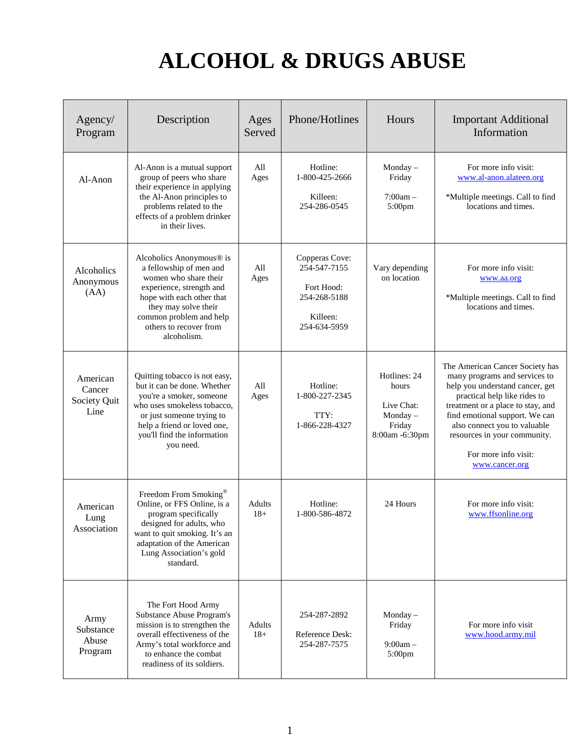# **ALCOHOL & DRUGS ABUSE**

| Agency/<br>Program                         | Description                                                                                                                                                                                                                       | Ages<br>Served  | Phone/Hotlines                                                                           | Hours                                                                      | <b>Important Additional</b><br>Information                                                                                                                                                                                                                                                                           |
|--------------------------------------------|-----------------------------------------------------------------------------------------------------------------------------------------------------------------------------------------------------------------------------------|-----------------|------------------------------------------------------------------------------------------|----------------------------------------------------------------------------|----------------------------------------------------------------------------------------------------------------------------------------------------------------------------------------------------------------------------------------------------------------------------------------------------------------------|
| Al-Anon                                    | Al-Anon is a mutual support<br>group of peers who share<br>their experience in applying<br>the Al-Anon principles to<br>problems related to the<br>effects of a problem drinker<br>in their lives.                                | All<br>Ages     | Hotline:<br>1-800-425-2666<br>Austin:<br>512-441-8591                                    | Monday $-$<br>Friday<br>$7:00am -$<br>5:00pm                               | For more info visit:<br>www.al-anon.alateen.org<br>*Multiple meetings. Call to find<br>locations and times.                                                                                                                                                                                                          |
| Alcoholics<br>Anonymous<br>(AA)            | Alcoholics Anonymous® is<br>a fellowship of men and<br>women who share their<br>experience, strength and<br>hope with each other that<br>they may solve their<br>common problem and help<br>others to recover from<br>alcoholism. | All<br>Ages     | Copperas Cove:<br>254-547-7155<br>Fort Hood:<br>254-268-5188<br>Killeen:<br>254-634-5959 | Vary depending<br>on location                                              | For more info visit:<br>www.aa.org<br>*Multiple meetings. Call to find<br>locations and times.                                                                                                                                                                                                                       |
| American<br>Cancer<br>Society Quit<br>Line | Quitting tobacco is not easy,<br>but it can be done. Whether<br>you're a smoker, someone<br>who uses smokeless tobacco,<br>or just someone trying to<br>help a friend or loved one,<br>you'll find the information<br>you need.   | All<br>Ages     | Hotline:<br>1-800-227-2345                                                               | Hotlines: 24<br>hours<br>Live Chat:<br>Monday-<br>Friday<br>8:00am -6:30pm | The American Cancer Society has<br>many programs and services to<br>help you understand cancer, get<br>practical help like rides to<br>treatment or a place to stay, and<br>find emotional support. We can<br>also connect you to valuable<br>resources in your community.<br>For more info visit:<br>www.cancer.org |
| American<br>Lung<br>Association            | Freedom From Smoking®<br>Online, or FFS Online, is a<br>program specifically<br>designed for adults, who<br>want to quit smoking. It's an<br>adaptation of the American<br>Lung Association's gold<br>standard.                   | Adults<br>$18+$ | Hotline:<br>1-800-586-4872                                                               | 24 Hours                                                                   | For more info visit:<br>www.ffsonline.org                                                                                                                                                                                                                                                                            |
| Army<br>Substance<br>Abuse<br>Program      | The Fort Hood Army<br><b>Substance Abuse Program's</b><br>mission is to strengthen the<br>overall effectiveness of the<br>Army's total workforce and<br>to enhance the combat<br>readiness of its soldiers.                       | Adults<br>$18+$ | 254-287-2892<br>Reference Desk:<br>254-287-7575                                          | Monday $-$<br>Friday<br>$9:00am -$<br>5:00pm                               | For more info visit<br>www.hood.army.mil                                                                                                                                                                                                                                                                             |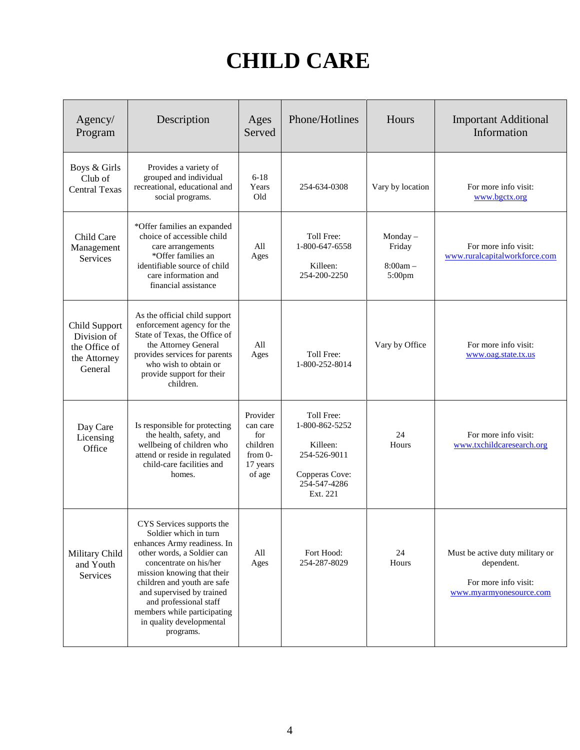# **CHILD CARE**

| Agency/<br>Program                                                       | Description                                                                                                                                                                                                                                                                                                                           | Ages<br>Served                                                             | Phone/Hotlines                                                             | Hours                                     | <b>Important Additional</b><br>Information                                                       |
|--------------------------------------------------------------------------|---------------------------------------------------------------------------------------------------------------------------------------------------------------------------------------------------------------------------------------------------------------------------------------------------------------------------------------|----------------------------------------------------------------------------|----------------------------------------------------------------------------|-------------------------------------------|--------------------------------------------------------------------------------------------------|
| Boys & Girls<br>Club of<br><b>Central Texas</b>                          | Provides a variety of<br>grouped and individual<br>recreational, educational and<br>social programs.                                                                                                                                                                                                                                  | $6 - 18$<br>Years<br>Old                                                   | 254-634-0308                                                               | Vary by location                          | For more info visit:<br>www.bgctx.org                                                            |
| Child Care<br>Management<br>Services                                     | *Offer families an expanded<br>choice of accessible child<br>care arrangements<br>*Offer families an<br>identifiable source of child<br>care information and<br>financial assistance                                                                                                                                                  | All<br>Ages                                                                | Toll Free:<br>1-800-647-6558<br>Killeen:<br>254-200-2250                   | Monday-<br>Friday<br>$8:00am -$<br>5:00pm | For more info visit:<br>www.ruralcapitalworkforce.com                                            |
| Child Support<br>Division of<br>the Office of<br>the Attorney<br>General | As the official child support<br>enforcement agency for the<br>State of Texas, the Office of<br>the Attorney General<br>provides services for parents<br>who wish to obtain or<br>provide support for their<br>children.                                                                                                              | All<br>Ages                                                                | Toll Free:<br>1-800-252-8014                                               | Vary by Office                            | For more info visit:<br>www.oag.state.tx.us                                                      |
| Day Care<br>Licensing<br>Office                                          | Is responsible for protecting<br>the health, safety, and<br>wellbeing of children who<br>attend or reside in regulated<br>child-care facilities and<br>homes.                                                                                                                                                                         | Provider<br>can care<br>for<br>children<br>$from 0-$<br>17 years<br>of age | Toll Free:<br>1-800-862-5252<br>Copperas Cove:<br>254-547-4286<br>Ext. 221 | 24<br>Hours                               | For more info visit:<br>www.txchildcaresearch.org                                                |
| Military Child<br>and Youth<br><b>Services</b>                           | CYS Services supports the<br>Soldier which in turn<br>enhances Army readiness. In<br>other words, a Soldier can<br>concentrate on his/her<br>mission knowing that their<br>children and youth are safe<br>and supervised by trained<br>and professional staff<br>members while participating<br>in quality developmental<br>programs. | All<br>Ages                                                                | Fort Hood:<br>254-287-8029                                                 | 24<br>Hours                               | Must be active duty military or<br>dependent.<br>For more info visit:<br>www.myarmyonesource.com |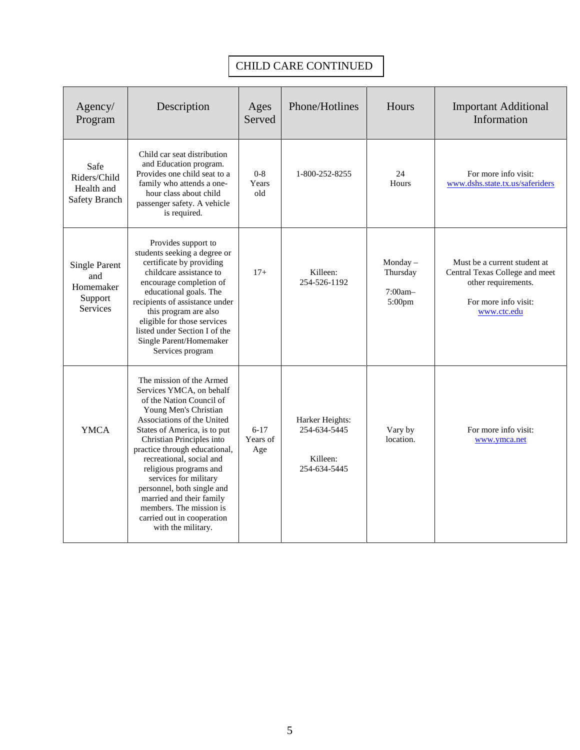### CHILD CARE CONTINUED

| Agency/<br>Program                                                     | Description                                                                                                                                                                                                                                                                                                                                                                                                                                                   | Ages<br>Served              | Phone/Hotlines                  | Hours                                          | <b>Important Additional</b><br>Information                                                                                   |
|------------------------------------------------------------------------|---------------------------------------------------------------------------------------------------------------------------------------------------------------------------------------------------------------------------------------------------------------------------------------------------------------------------------------------------------------------------------------------------------------------------------------------------------------|-----------------------------|---------------------------------|------------------------------------------------|------------------------------------------------------------------------------------------------------------------------------|
| Safe<br>Riders/Child<br>Health and<br><b>Safety Branch</b>             | Child car seat distribution<br>and Education program.<br>Provides one child seat to a<br>family who attends a one-<br>hour class about child<br>passenger safety. A vehicle<br>is required.                                                                                                                                                                                                                                                                   | $0 - 8$<br>Years<br>old     | 1-800-252-8255                  | 24<br>Hours                                    | For more info visit:<br>www.dshs.state.tx.us/saferiders                                                                      |
| <b>Single Parent</b><br>and<br>Homemaker<br>Support<br><b>Services</b> | Provides support to<br>students seeking a degree or<br>certificate by providing<br>childcare assistance to<br>encourage completion of<br>educational goals. The<br>recipients of assistance under<br>this program are also<br>eligible for those services<br>listed under Section I of the<br>Single Parent/Homemaker<br>Services program                                                                                                                     | $17+$                       | Killeen:<br>254-526-1192        | Monday $-$<br>Thursday<br>$7:00am -$<br>5:00pm | Must be a current student at<br>Central Texas College and meet<br>other requirements.<br>For more info visit:<br>www.ctc.edu |
| <b>YMCA</b>                                                            | The mission of the Armed<br>Services YMCA, on behalf<br>of the Nation Council of<br>Young Men's Christian<br>Associations of the United<br>States of America, is to put<br>Christian Principles into<br>practice through educational,<br>recreational, social and<br>religious programs and<br>services for military<br>personnel, both single and<br>married and their family<br>members. The mission is<br>carried out in cooperation<br>with the military. | $6 - 17$<br>Years of<br>Age | Harker Heights:<br>254-690-9622 | Vary by<br>location.                           | For more info visit:<br>www.ymca.net                                                                                         |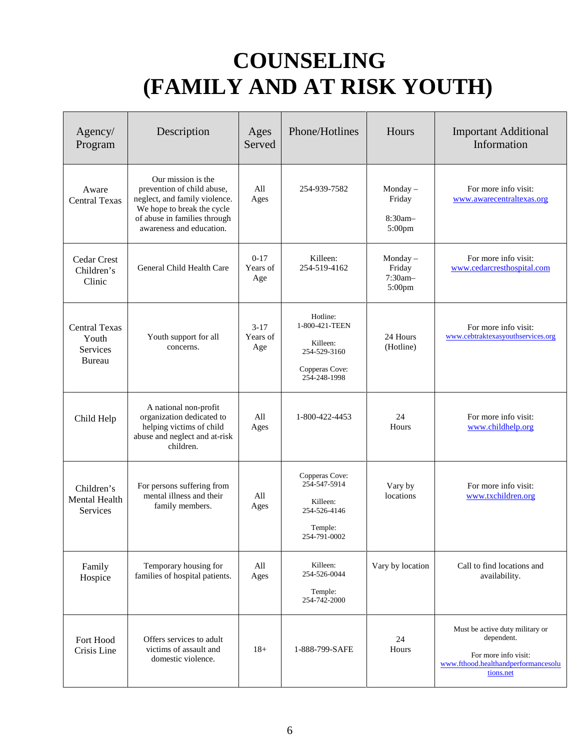### **COUNSELING (FAMILY AND AT RISK YOUTH)**

| Agency/<br>Program                                  | Description                                                                                                                                                                 | Ages<br>Served            | Phone/Hotlines                                                                           | Hours                                        | <b>Important Additional</b><br>Information                                                                                |
|-----------------------------------------------------|-----------------------------------------------------------------------------------------------------------------------------------------------------------------------------|---------------------------|------------------------------------------------------------------------------------------|----------------------------------------------|---------------------------------------------------------------------------------------------------------------------------|
| Aware<br><b>Central Texas</b>                       | Our mission is the<br>prevention of child abuse,<br>neglect, and family violence.<br>We hope to break the cycle<br>of abuse in families through<br>awareness and education. | All<br>Ages               | 254-939-7582                                                                             | Monday $-$<br>Friday<br>$8:30am -$<br>5:00pm | For more info visit:<br>www.awarecentraltexas.org                                                                         |
| Cedar Crest<br>Children's<br>Clinic                 | General Child Health Care                                                                                                                                                   | $0-17$<br>Years of<br>Age | Killeen:<br>254-519-4162                                                                 | Monday $-$<br>Friday<br>7:30am-<br>5:00pm    | For more info visit:<br>www.cedarcresthospital.com                                                                        |
| <b>Central Texas</b><br>Youth<br>Services<br>Bureau | Youth support for all<br>concerns.                                                                                                                                          | $3-17$<br>Years of<br>Age | Hotline:<br>1-800-421-TEEN<br>Killeen:<br>254-529-3160<br>Copperas Cove:<br>254-248-1998 | 24 Hours<br>(Hotline)                        | For more info visit:<br>www.cebtraktexasyouthservices.org                                                                 |
| Child Help                                          | A national non-profit<br>organization dedicated to<br>helping victims of child<br>abuse and neglect and at-risk<br>children.                                                | All<br>Ages               | 1-800-422-4453                                                                           | 24<br>Hours                                  | For more info visit:<br>www.childhelp.org                                                                                 |
| Children's<br>Mental Health<br>Services             | For persons suffering from<br>mental illness and their<br>family members.                                                                                                   | All<br>Ages               | Copperas Cove:<br>254-547-5914<br>Killeen:<br>254-526-4146<br>Temple:<br>254-791-0002    | Vary by<br>locations                         | For more info visit:<br>www.txchildren.org                                                                                |
| Family<br>Hospice                                   | Temporary housing for<br>families of hospital patients.                                                                                                                     | All<br>Ages               | Killeen:<br>254-526-0044<br>Temple:<br>254-742-2000                                      | Vary by location                             | Call to find locations and<br>availability.                                                                               |
| Fort Hood<br>Crisis Line                            | Offers services to adult<br>victims of assault and<br>domestic violence.                                                                                                    | $18+$                     | 1-888-799-SAFE                                                                           | 24<br>Hours                                  | Must be active duty military or<br>dependent.<br>For more info visit:<br>www.fthood.healthandperformancesolu<br>tions.net |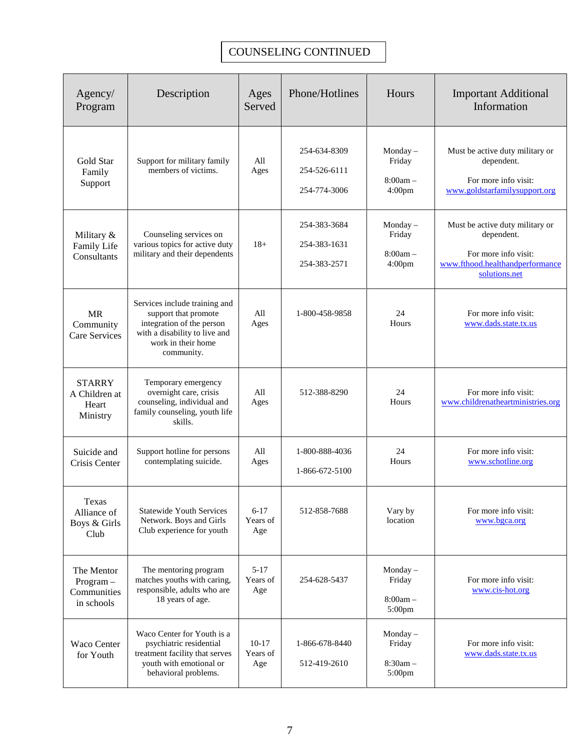# **CHILD CARE**

| Agency/<br>Program                                                       | Description                                                                                                                                                                                                                                                                                                                           | Ages<br>Served                                                             | Phone/Hotlines                                                            | Hours                                           | <b>Important Additional</b><br>Information                                                       |
|--------------------------------------------------------------------------|---------------------------------------------------------------------------------------------------------------------------------------------------------------------------------------------------------------------------------------------------------------------------------------------------------------------------------------|----------------------------------------------------------------------------|---------------------------------------------------------------------------|-------------------------------------------------|--------------------------------------------------------------------------------------------------|
| Boys & Girls<br>Club of<br><b>Central Texas</b>                          | Provides a variety of<br>grouped and individual<br>recreational, educational and<br>social programs.                                                                                                                                                                                                                                  | $6 - 18$<br>Years<br>Old                                                   | 254-634-0308                                                              | Vary by location                                | For more info visit:<br>www.bgctx.org                                                            |
| Child Care<br>Management<br>Services                                     | *Offer families an expanded<br>choice of accessible child<br>care arrangements<br>*Offer families an<br>identifiable source of child<br>care information and<br>financial assistance                                                                                                                                                  | All<br>Ages                                                                | Toll Free:<br>1-800-647-6558<br>Killeen:<br>254-200-2250                  | Monday $-$<br>Friday<br>$8:00am -$<br>$5:00$ pm | For more info visit:<br>www.ruralcapitalworkforce.com                                            |
| Child Support<br>Division of<br>the Office of<br>the Attorney<br>General | As the official child support<br>enforcement agency for the<br>State of Texas, the Office of<br>the Attorney General<br>provides services for parents<br>who wish to obtain or<br>provide support for their<br>children.                                                                                                              | All<br>Ages                                                                | Toll Free:<br>1-800-252-8014                                              | Vary by Office                                  | For more info visit:<br>www.oag.state.tx.us                                                      |
| Day Care<br>Licensing<br>Office                                          | Is responsible for protecting<br>the health, safety, and<br>wellbeing of children who<br>attend or reside in regulated<br>child-care facilities and<br>homes.                                                                                                                                                                         | Provider<br>can care<br>for<br>children<br>from $0-$<br>17 years<br>of age | Toll Free:<br>1-800-862-525<br>Copperas Cove:<br>254-547-4286<br>Ext. 221 | 24<br>Hours                                     | For more info visit:<br>www.txchildcaresearch.org                                                |
| Military Child<br>and Youth<br>Services                                  | CYS Services supports the<br>Soldier which in turn<br>enhances Army readiness. In<br>other words, a Soldier can<br>concentrate on his/her<br>mission knowing that their<br>children and youth are safe<br>and supervised by trained<br>and professional staff<br>members while participating<br>in quality developmental<br>programs. | All<br>Ages                                                                | Fort Hood:<br>254-287-8029                                                | 24<br>Hours                                     | Must be active duty military or<br>dependent.<br>For more info visit:<br>www.myarmyonesource.com |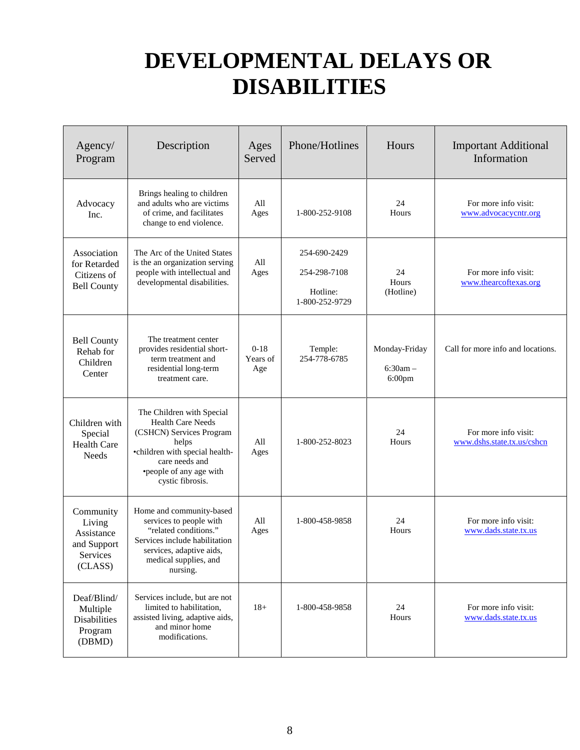### **DEVELOPMENTAL DELAYS OR DISABILITIES**

| Agency/<br>Program                                                      | Description                                                                                                                                                                            | Ages<br>Served            | Phone/Hotlines                                             | Hours                                    | <b>Important Additional</b><br>Information         |
|-------------------------------------------------------------------------|----------------------------------------------------------------------------------------------------------------------------------------------------------------------------------------|---------------------------|------------------------------------------------------------|------------------------------------------|----------------------------------------------------|
| Advocacy<br>Inc.                                                        | Brings healing to children<br>and adults who are victims<br>of crime, and facilitates<br>change to end violence.                                                                       | All<br>Ages               | 1-800-252-9108                                             | 24<br>Hours                              | For more info visit:<br>www.advocacycntr.org       |
| Association<br>for Retarded<br>Citizens of<br><b>Bell County</b>        | The Arc of the United States<br>is the an organization serving<br>people with intellectual and<br>developmental disabilities.                                                          | All<br>Ages               | 254-690-2429<br>254-298-7108<br>Hotline:<br>1-800-252-9729 | 24<br>Hours<br>(Hotline)                 | For more info visit:<br>www.thearcoftexas.org      |
| <b>Bell County</b><br>Rehab for<br>Children<br>Center                   | The treatment center<br>provides residential short-<br>term treatment and<br>residential long-term<br>treatment care.                                                                  | $0-18$<br>Years of<br>Age | Temple:<br>254-778-6785                                    | Monday-Friday<br>$6:30am -$<br>$6:00$ pm | Call for more info and locations.                  |
| Children with<br>Special<br><b>Health Care</b><br>Needs                 | The Children with Special<br>Health Care Needs<br>(CSHCN) Services Program<br>helps<br>•children with special health-<br>care needs and<br>•people of any age with<br>cystic fibrosis. | All<br>Ages               | 1-800-252-8023                                             | 24<br>Hours                              | For more info visit:<br>www.dshs.state.tx.us/cshcn |
| Community<br>Living<br>Assistance<br>and Support<br>Services<br>(CLASS) | Home and community-based<br>services to people with<br>"related conditions."<br>Services include habilitation<br>services, adaptive aids,<br>medical supplies, and<br>nursing.         | All<br>Ages               | 1-800-458-9858                                             | 24<br>Hours                              | For more info visit:<br>www.dads.state.tx.us       |
| Deaf/Blind/<br>Multiple<br><b>Disabilities</b><br>Program<br>(DBMD)     | Services include, but are not<br>limited to habilitation,<br>assisted living, adaptive aids,<br>and minor home<br>modifications.                                                       | $18+$                     | 1-800-458-9858                                             | 24<br>Hours                              | For more info visit:<br>www.dads.state.tx.us       |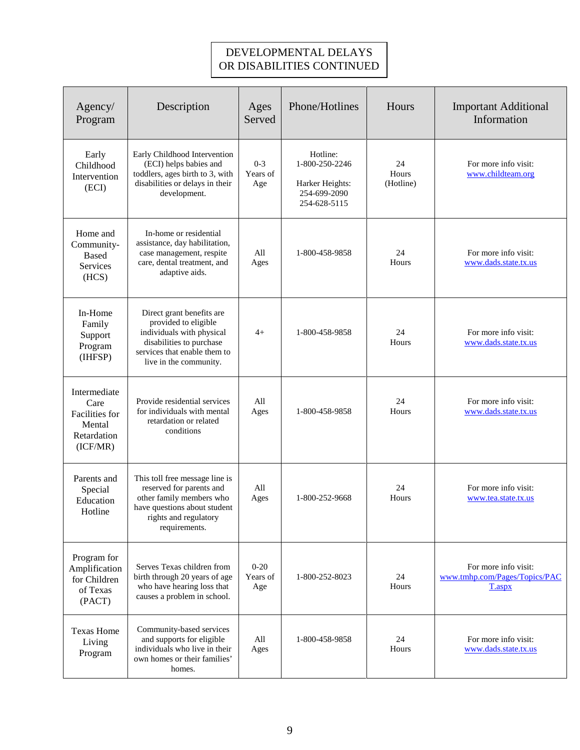#### DEVELOPMENTAL DELAYS OR DISABILITIES CONTINUED

| Agency/<br>Program                                                          | Description                                                                                                                                                          | Ages<br>Served              | Phone/Hotlines                                                                | Hours                    | <b>Important Additional</b><br>Information                      |
|-----------------------------------------------------------------------------|----------------------------------------------------------------------------------------------------------------------------------------------------------------------|-----------------------------|-------------------------------------------------------------------------------|--------------------------|-----------------------------------------------------------------|
| Early<br>Childhood<br>Intervention<br>(ECI)                                 | Early Childhood Intervention<br>(ECI) helps babies and<br>toddlers, ages birth to 3, with<br>disabilities or delays in their<br>development.                         | $0 - 3$<br>Years of<br>Age  | Hotline:<br>1-800-250-2246<br>Harker Heights:<br>254-699-2090<br>254-628-5115 | 24<br>Hours<br>(Hotline) | For more info visit:<br>www.childteam.org                       |
| Home and<br>Community-<br><b>Based</b><br>Services<br>(HCS)                 | In-home or residential<br>assistance, day habilitation,<br>case management, respite<br>care, dental treatment, and<br>adaptive aids.                                 | All<br>Ages                 | 1-800-458-9858                                                                | 24<br>Hours              | For more info visit:<br>www.dads.state.tx.us                    |
| In-Home<br>Family<br>Support<br>Program<br>(IHFSP)                          | Direct grant benefits are<br>provided to eligible<br>individuals with physical<br>disabilities to purchase<br>services that enable them to<br>live in the community. | $4+$                        | 1-800-458-9858                                                                | 24<br>Hours              | For more info visit:<br>www.dads.state.tx.us                    |
| Intermediate<br>Care<br>Facilities for<br>Mental<br>Retardation<br>(ICF/MR) | Provide residential services<br>for individuals with mental<br>retardation or related<br>conditions                                                                  | All<br>Ages                 | 1-800-458-9858                                                                | 24<br>Hours              | For more info visit:<br>www.dads.state.tx.us                    |
| Parents and<br>Special<br>Education<br>Hotline                              | This toll free message line is<br>reserved for parents and<br>other family members who<br>have questions about student<br>rights and regulatory<br>requirements.     | All<br>Ages                 | 1-800-252-9668                                                                | 24<br>Hours              | For more info visit:<br>www.tea.state.tx.us                     |
| Program for<br>Amplification<br>for Children<br>of Texas<br>(PACT)          | Serves Texas children from<br>birth through 20 years of age<br>who have hearing loss that<br>causes a problem in school.                                             | $0 - 20$<br>Years of<br>Age | 1-800-252-8023                                                                | 24<br>Hours              | For more info visit:<br>www.tmhp.com/Pages/Topics/PAC<br>T.aspx |
| <b>Texas Home</b><br>Living<br>Program                                      | Community-based services<br>and supports for eligible<br>individuals who live in their<br>own homes or their families'<br>homes.                                     | All<br>Ages                 | 1-800-458-9858                                                                | 24<br>Hours              | For more info visit:<br>www.dads.state.tx.us                    |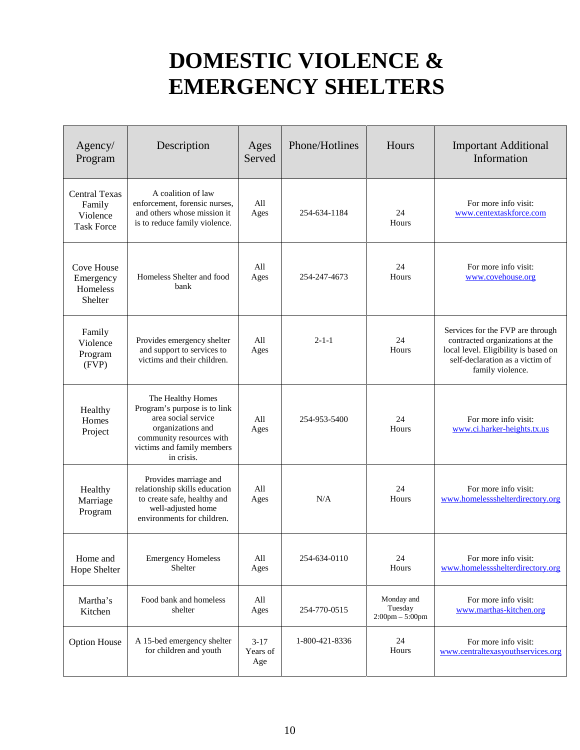### **DOMESTIC VIOLENCE & EMERGENCY SHELTERS**

| Agency/<br>Program                                              | Description                                                                                                                                                           | Ages<br>Served            | Phone/Hotlines | Hours                                                      | <b>Important Additional</b><br>Information                                                                                                                         |
|-----------------------------------------------------------------|-----------------------------------------------------------------------------------------------------------------------------------------------------------------------|---------------------------|----------------|------------------------------------------------------------|--------------------------------------------------------------------------------------------------------------------------------------------------------------------|
| <b>Central Texas</b><br>Family<br>Violence<br><b>Task Force</b> | A coalition of law<br>enforcement, forensic nurses,<br>and others whose mission it<br>is to reduce family violence.                                                   | All<br>Ages               | 254-634-1184   | 24<br>Hours                                                | For more info visit:<br>www.centextaskforce.com                                                                                                                    |
| Cove House<br>Emergency<br>Homeless<br>Shelter                  | Homeless Shelter and food<br>bank                                                                                                                                     | All<br>Ages               | 254-247-4673   | 24<br>Hours                                                | For more info visit:<br>www.covehouse.org                                                                                                                          |
| Family<br>Violence<br>Program<br>(FVP)                          | Provides emergency shelter<br>and support to services to<br>victims and their children.                                                                               | All<br>Ages               | $2 - 1 - 1$    | 24<br>Hours                                                | Services for the FVP are through<br>contracted organizations at the<br>local level. Eligibility is based on<br>self-declaration as a victim of<br>family violence. |
| Healthy<br>Homes<br>Project                                     | The Healthy Homes<br>Program's purpose is to link<br>area social service<br>organizations and<br>community resources with<br>victims and family members<br>in crisis. | All<br>Ages               | 254-953-5400   | 24<br>Hours                                                | For more info visit:<br>www.ci.harker-heights.tx.us                                                                                                                |
| Healthy<br>Marriage<br>Program                                  | Provides marriage and<br>relationship skills education<br>to create safe, healthy and<br>well-adjusted home<br>environments for children.                             | All<br>Ages               | N/A            | 24<br>Hours                                                | For more info visit:<br>www.homelessshelterdirectory.org                                                                                                           |
| Home and<br>Hope Shelter                                        | <b>Emergency Homeless</b><br>Shelter                                                                                                                                  | All<br>Ages               | 254-634-0110   | 24<br>Hours                                                | For more info visit:<br>www.homelessshelterdirectory.org                                                                                                           |
| Martha's<br>Kitchen                                             | Food bank and homeless<br>shelter                                                                                                                                     | All<br>Ages               | 254-770-0515   | Monday and<br>Tuesday<br>$2:00 \text{pm} - 5:00 \text{pm}$ | For more info visit:<br>www.marthas-kitchen.org                                                                                                                    |
| <b>Option House</b>                                             | A 15-bed emergency shelter<br>for children and youth                                                                                                                  | $3-17$<br>Years of<br>Age | 1-800-421-8336 | 24<br>Hours                                                | For more info visit:<br>www.centraltexasyouthservices.org                                                                                                          |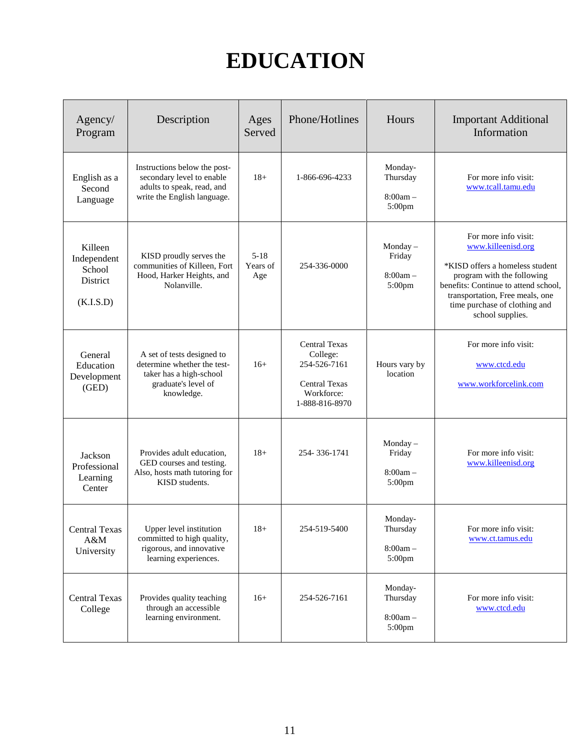### **EDUCATION**

| Agency/<br>Program                                        | Description                                                                                                               | Ages<br>Served              | Phone/Hotlines                                                                                           | Hours                                          | <b>Important Additional</b><br>Information                                                                                                                                                                                                  |
|-----------------------------------------------------------|---------------------------------------------------------------------------------------------------------------------------|-----------------------------|----------------------------------------------------------------------------------------------------------|------------------------------------------------|---------------------------------------------------------------------------------------------------------------------------------------------------------------------------------------------------------------------------------------------|
| English as a<br>Second<br>Language                        | Instructions below the post-<br>secondary level to enable<br>adults to speak, read, and<br>write the English language.    | $18+$                       | 1-866-696-4233                                                                                           | Monday-<br>Thursday<br>$8:00am -$<br>$5:00$ pm | For more info visit:<br>www.tcall.tamu.edu                                                                                                                                                                                                  |
| Killeen<br>Independent<br>School<br>District<br>(K.I.S.D) | KISD proudly serves the<br>communities of Killeen, Fort<br>Hood, Harker Heights, and<br>Nolanville.                       | $5 - 18$<br>Years of<br>Age | 254-336-0000                                                                                             | Monday-<br>Friday<br>$8:00am -$<br>$5:00$ pm   | For more info visit:<br>www.killeenisd.org<br>*KISD offers a homeless student<br>program with the following<br>benefits: Continue to attend school,<br>transportation, Free meals, one<br>time purchase of clothing and<br>school supplies. |
| General<br>Education<br>Development<br>(GED)              | A set of tests designed to<br>determine whether the test-<br>taker has a high-school<br>graduate's level of<br>knowledge. | $16+$                       | <b>Central Texas</b><br>College:<br>254-526-7161<br><b>Central Texas</b><br>Workforce:<br>1-888-816-8970 | Hours vary by<br>location                      | For more info visit:<br>www.ctcd.edu<br>www.workforcelink.com                                                                                                                                                                               |
| Jackson<br>Professional<br>Learning<br>Center             | Provides adult education,<br>GED courses and testing.<br>Also, hosts math tutoring for<br>KISD students.                  | $18+$                       | 254-336-1741                                                                                             | Monday $-$<br>Friday<br>$8:00am -$<br>5:00pm   | For more info visit:<br>www.killeenisd.org                                                                                                                                                                                                  |
| <b>Central Texas</b><br>A&M<br>University                 | Upper level institution<br>committed to high quality,<br>rigorous, and innovative<br>learning experiences.                | $18+$                       | 254-519-5400                                                                                             | Monday-<br>Thursday<br>$8:00am -$<br>5:00pm    | For more info visit:<br>www.ct.tamus.edu                                                                                                                                                                                                    |
| <b>Central Texas</b><br>College                           | Provides quality teaching<br>through an accessible<br>learning environment.                                               | $16+$                       | 254-526-7161                                                                                             | Monday-<br>Thursday<br>$8:00am -$<br>5:00pm    | For more info visit:<br>www.ctcd.edu                                                                                                                                                                                                        |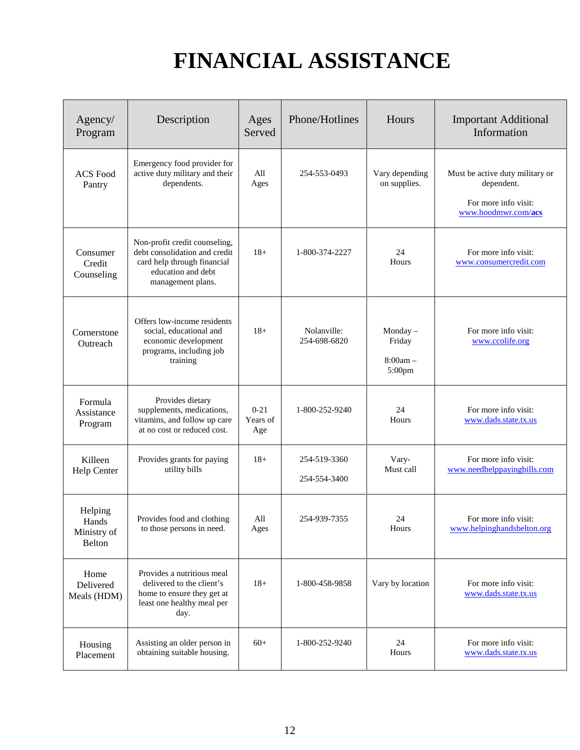# **FINANCIAL ASSISTANCE**

| Agency/<br>Program                        | Description                                                                                                                              | Ages<br>Served              | Phone/Hotlines               | Hours                                        | <b>Important Additional</b><br>Information                                                   |
|-------------------------------------------|------------------------------------------------------------------------------------------------------------------------------------------|-----------------------------|------------------------------|----------------------------------------------|----------------------------------------------------------------------------------------------|
| <b>ACS</b> Food<br>Pantry                 | Emergency food provider for<br>active duty military and their<br>dependents.                                                             | All<br>Ages                 | 254-553-0493                 | Vary depending<br>on supplies.               | Must be active duty military or<br>dependent.<br>For more info visit:<br>www.hoodmwr.com/acs |
| Consumer<br>Credit<br>Counseling          | Non-profit credit counseling,<br>debt consolidation and credit<br>card help through financial<br>education and debt<br>management plans. | $18+$                       | 1-800-374-2227               | 24<br>Hours                                  | For more info visit:<br>www.consumercredit.com                                               |
| Cornerstone<br>Outreach                   | Offers low-income residents<br>social, educational and<br>economic development<br>programs, including job<br>training                    | $18+$                       | Nolanville:<br>254-698-6820  | Monday $-$<br>Friday<br>$8:00am -$<br>5:00pm | For more info visit:<br>www.ccolife.org                                                      |
| Formula<br>Assistance<br>Program          | Provides dietary<br>supplements, medications,<br>vitamins, and follow up care<br>at no cost or reduced cost.                             | $0 - 21$<br>Years of<br>Age | 1-800-252-9240               | 24<br>Hours                                  | For more info visit:<br>www.dads.state.tx.us                                                 |
| Killeen<br>Help Center                    | Provides grants for paying<br>utility bills                                                                                              | $18+$                       | 254-519-3360<br>254-554-3400 | Vary-<br>Must call                           | For more info visit:<br>www.needhelppayingbills.com                                          |
| Helping<br>Hands<br>Ministry of<br>Belton | Provides food and clothing<br>to those persons in need.                                                                                  | All<br>$\rm{Ages}$          | 254-939-7355                 | 24<br>Hours                                  | For more info visit:<br>www.helpinghandsbelton.org                                           |
| Home<br>Delivered<br>Meals (HDM)          | Provides a nutritious meal<br>delivered to the client's<br>home to ensure they get at<br>least one healthy meal per<br>day.              | $18+$                       | 1-800-458-9858               | Vary by location                             | For more info visit:<br>www.dads.state.tx.us                                                 |
| Housing<br>Placement                      | Assisting an older person in<br>obtaining suitable housing.                                                                              | $60+$                       | 1-800-252-9240               | 24<br>Hours                                  | For more info visit:<br>www.dads.state.tx.us                                                 |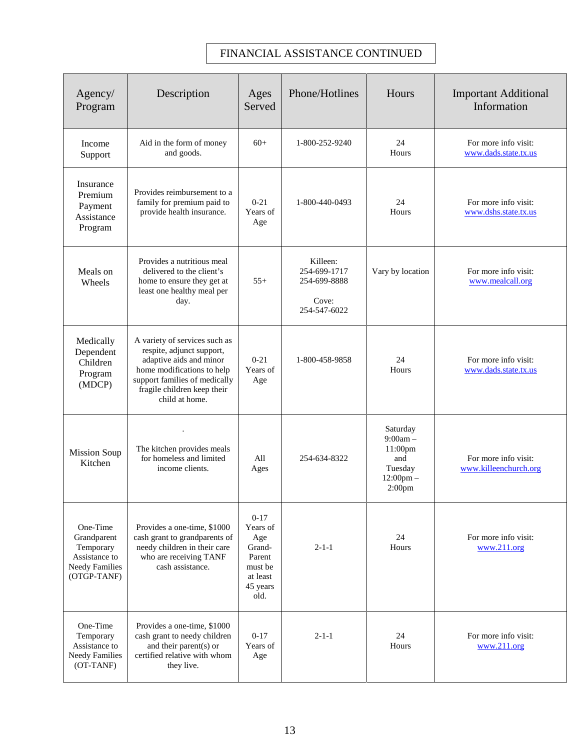#### FINANCIAL ASSISTANCE CONTINUED

| Agency/<br>Program                                                                            | Description                                                                                                                                                                                           | Ages<br>Served                                                                             | Phone/Hotlines                                                    | Hours                                                                                                   | <b>Important Additional</b><br>Information    |
|-----------------------------------------------------------------------------------------------|-------------------------------------------------------------------------------------------------------------------------------------------------------------------------------------------------------|--------------------------------------------------------------------------------------------|-------------------------------------------------------------------|---------------------------------------------------------------------------------------------------------|-----------------------------------------------|
| Income<br>Support                                                                             | Aid in the form of money<br>and goods.                                                                                                                                                                | $60+$                                                                                      | 1-800-252-9240                                                    | 24<br>Hours                                                                                             | For more info visit:<br>www.dads.state.tx.us  |
| Insurance<br>Premium<br>Payment<br>Assistance<br>Program                                      | Provides reimbursement to a<br>family for premium paid to<br>provide health insurance.                                                                                                                | $0 - 21$<br>Years of<br>Age                                                                | 1-800-440-0493                                                    | 24<br>Hours                                                                                             | For more info visit:<br>www.dshs.state.tx.us  |
| Meals on<br>Wheels                                                                            | Provides a nutritious meal<br>delivered to the client's<br>home to ensure they get at<br>least one healthy meal per<br>day.                                                                           | $55+$                                                                                      | Killeen:<br>254-699-1717<br>254-699-8888<br>Cove:<br>254-547-6022 | Vary by location                                                                                        | For more info visit:<br>www.mealcall.org      |
| Medically<br>Dependent<br>Children<br>Program<br>(MDCP)                                       | A variety of services such as<br>respite, adjunct support,<br>adaptive aids and minor<br>home modifications to help<br>support families of medically<br>fragile children keep their<br>child at home. | $0 - 21$<br>Years of<br>Age                                                                | 1-800-458-9858                                                    | 24<br>Hours                                                                                             | For more info visit:<br>www.dads.state.tx.us  |
| <b>Mission Soup</b><br>Kitchen                                                                | The kitchen provides meals<br>for homeless and limited<br>income clients.                                                                                                                             | All<br>Ages                                                                                | 254-634-8322                                                      | Saturday<br>$9:00am -$<br>11:00 <sub>pm</sub><br>and<br>Tuesday<br>$12:00$ pm $-$<br>2:00 <sub>pm</sub> | For more info visit:<br>www.killeenchurch.org |
| One-Time<br>Grandparent<br>Temporary<br>Assistance to<br><b>Needy Families</b><br>(OTGP-TANF) | Provides a one-time, \$1000<br>cash grant to grandparents of<br>needy children in their care<br>who are receiving TANF<br>cash assistance.                                                            | $0 - 17$<br>Years of<br>Age<br>Grand-<br>Parent<br>must be<br>at least<br>45 years<br>old. | $2 - 1 - 1$                                                       | 24<br>Hours                                                                                             | For more info visit:<br>www.211.org           |
| One-Time<br>Temporary<br>Assistance to<br><b>Needy Families</b><br>(OT-TANF)                  | Provides a one-time, \$1000<br>cash grant to needy children<br>and their parent(s) or<br>certified relative with whom<br>they live.                                                                   | $0 - 17$<br>Years of<br>Age                                                                | $2 - 1 - 1$                                                       | 24<br>Hours                                                                                             | For more info visit:<br>www.211.org           |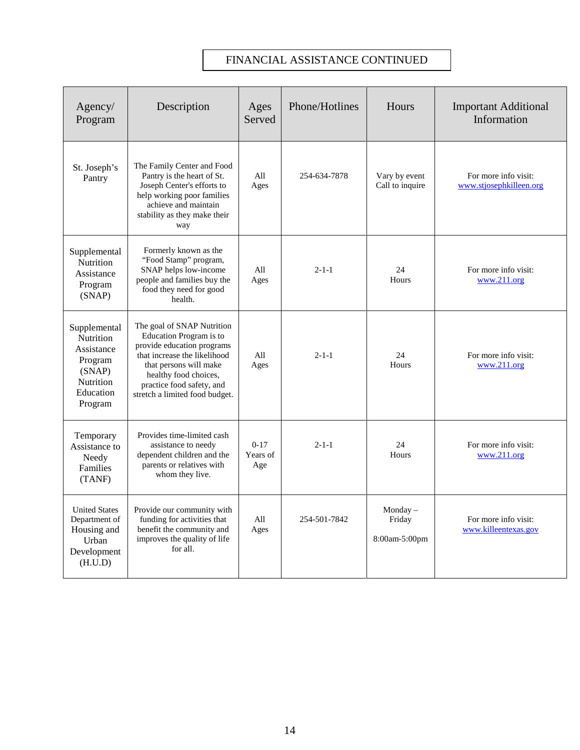#### FINANCIAL ASSISTANCE CONTINUED

| Agency/<br>Program                                                                                | Description                                                                                                                                                                                                                           | Ages<br>Served              | Phone/Hotlines | Hours                                 | <b>Important Additional</b><br>Information      |
|---------------------------------------------------------------------------------------------------|---------------------------------------------------------------------------------------------------------------------------------------------------------------------------------------------------------------------------------------|-----------------------------|----------------|---------------------------------------|-------------------------------------------------|
| St. Joseph's<br>Pantry                                                                            | The Family Center and Food<br>Pantry is the heart of St.<br>Joseph Center's efforts to<br>help working poor families<br>achieve and maintain<br>stability as they make their<br>way                                                   | All<br>Ages                 | 254-634-7878   | Vary by event<br>Call to inquire      | For more info visit:<br>www.stjosephkilleen.org |
| Supplemental<br>Nutrition<br>Assistance<br>Program<br>(SNAP)                                      | Formerly known as the<br>"Food Stamp" program,<br>SNAP helps low-income<br>people and families buy the<br>food they need for good<br>health.                                                                                          | All<br>Ages                 | $2 - 1 - 1$    | 24<br>Hours                           | For more info visit:<br>www.211.org             |
| Supplemental<br>Nutrition<br>Assistance<br>Program<br>(SNAP)<br>Nutrition<br>Education<br>Program | The goal of SNAP Nutrition<br>Education Program is to<br>provide education programs<br>that increase the likelihood<br>that persons will make<br>healthy food choices,<br>practice food safety, and<br>stretch a limited food budget. | All<br>Ages                 | $2 - 1 - 1$    | 24<br>Hours                           | For more info visit:<br>www.211.org             |
| Temporary<br>Assistance to<br>Needy<br>Families<br>(TANF)                                         | Provides time-limited cash<br>assistance to needy<br>dependent children and the<br>parents or relatives with<br>whom they live.                                                                                                       | $0 - 17$<br>Years of<br>Age | $2 - 1 - 1$    | 24<br>Hours                           | For more info visit:<br>www.211.org             |
| <b>United States</b><br>Department of<br>Housing and<br>Urban<br>Development<br>(H.U.D)           | Provide our community with<br>funding for activities that<br>benefit the community and<br>improves the quality of life<br>for all.                                                                                                    | All<br>Ages                 | 254-501-7842   | $Monday -$<br>Friday<br>8:00am-5:00pm | For more info visit:<br>www.killeentexas.gov    |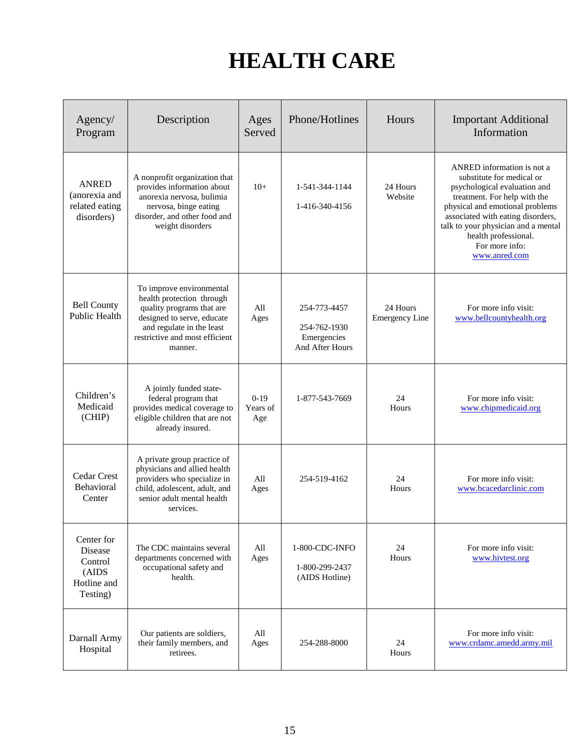# **HEALTH CARE**

| Agency/<br>Program                                                   | Description                                                                                                                                                                                | Ages<br>Served            | Phone/Hotlines                                                 | Hours                             | <b>Important Additional</b><br>Information                                                                                                                                                                                                                                                        |
|----------------------------------------------------------------------|--------------------------------------------------------------------------------------------------------------------------------------------------------------------------------------------|---------------------------|----------------------------------------------------------------|-----------------------------------|---------------------------------------------------------------------------------------------------------------------------------------------------------------------------------------------------------------------------------------------------------------------------------------------------|
| <b>ANRED</b><br>(anorexia and<br>related eating<br>disorders)        | A nonprofit organization that<br>provides information about<br>anorexia nervosa, bulimia<br>nervosa, binge eating<br>disorder, and other food and<br>weight disorders                      | $10+$                     | 1-541-344-1144<br>1-416-340-4156                               | 24 Hours<br>Website               | ANRED information is not a<br>substitute for medical or<br>psychological evaluation and<br>treatment. For help with the<br>physical and emotional problems<br>associated with eating disorders,<br>talk to your physician and a mental<br>health professional.<br>For more info:<br>www.anred.com |
| <b>Bell County</b><br><b>Public Health</b>                           | To improve environmental<br>health protection through<br>quality programs that are<br>designed to serve, educate<br>and regulate in the least<br>restrictive and most efficient<br>manner. | All<br>Ages               | 254-773-4457<br>254-762-1930<br>Emergencies<br>And After Hours | 24 Hours<br><b>Emergency Line</b> | For more info visit:<br>www.bellcountyhealth.org                                                                                                                                                                                                                                                  |
| Children's<br>Medicaid<br>(CHIP)                                     | A jointly funded state-<br>federal program that<br>provides medical coverage to<br>eligible children that are not<br>already insured.                                                      | $0-19$<br>Years of<br>Age | 1-877-543-7669                                                 | 24<br>Hours                       | For more info visit:<br>www.chipmedicaid.org                                                                                                                                                                                                                                                      |
| Cedar Crest<br>Behavioral<br>Center                                  | A private group practice of<br>physicians and allied health<br>providers who specialize in<br>child, adolescent, adult, and<br>senior adult mental health<br>services.                     | All<br>Ages               | 254-519-4162                                                   | 24<br>Hours                       | For more info visit:<br>www.bcacedarclinic.com                                                                                                                                                                                                                                                    |
| Center for<br>Disease<br>Control<br>(AIDS<br>Hotline and<br>Testing) | The CDC maintains several<br>departments concerned with<br>occupational safety and<br>health.                                                                                              | All<br>Ages               | 1-800-CDC-INFO<br>1-800-299-2437<br>(AIDS Hotline)             | 24<br>Hours                       | For more info visit:<br>www.hivtest.org                                                                                                                                                                                                                                                           |
| Darnall Army<br>Hospital                                             | Our patients are soldiers,<br>their family members, and<br>retirees.                                                                                                                       | All<br>Ages               | 254-288-8000                                                   | 24<br>Hours                       | For more info visit:<br>www.crdamc.amedd.armv.mil                                                                                                                                                                                                                                                 |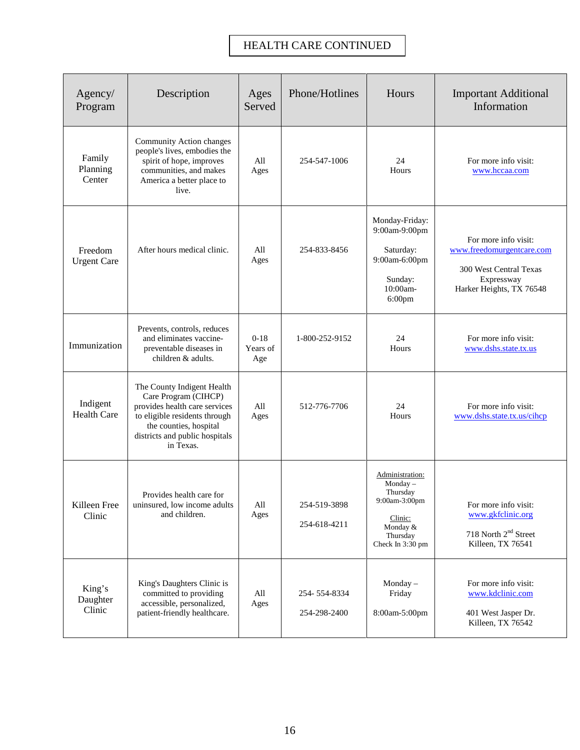### HEALTH CARE CONTINUED

| Agency/<br>Program             | Description                                                                                                                                                                                   | Ages<br>Served                      | Phone/Hotlines               | Hours                                                                                                          | <b>Important Additional</b><br>Information                                                                            |
|--------------------------------|-----------------------------------------------------------------------------------------------------------------------------------------------------------------------------------------------|-------------------------------------|------------------------------|----------------------------------------------------------------------------------------------------------------|-----------------------------------------------------------------------------------------------------------------------|
| Family<br>Planning<br>Center   | Community Action changes<br>people's lives, embodies the<br>spirit of hope, improves<br>communities, and makes<br>America a better place to<br>live.                                          | All<br>Ages                         | 254-547-1006                 | 24<br>Hours                                                                                                    | For more info visit:<br>www.hccaa.com                                                                                 |
| Freedom<br><b>Urgent Care</b>  | After hours medical clinic.                                                                                                                                                                   | All<br>Ages                         | 254-833-8456                 | Monday-Friday:<br>9:00am-9:00pm<br>Saturday:<br>9:00am-6:00pm<br>Sunday:<br>10:00am-<br>6:00pm                 | For more info visit:<br>www.freedomurgentcare.com<br>300 West Central Texas<br>Expressway<br>Harker Heights, TX 76548 |
| Immunization                   | Prevents, controls, reduces<br>and eliminates vaccine-<br>preventable diseases in<br>children & adults.                                                                                       | $0-18$<br>Years of<br>Age           | 1-800-252-9152               | 24<br>Hours                                                                                                    | For more info visit:<br>www.dshs.state.tx.us                                                                          |
| Indigent<br><b>Health Care</b> | The County Indigent Health<br>Care Program (CIHCP)<br>provides health care services<br>to eligible residents through<br>the counties, hospital<br>districts and public hospitals<br>in Texas. | All<br>Ages                         | 512-776-7706                 | 24<br>Hours                                                                                                    | For more info visit:<br>www.dshs.state.tx.us/cihcp                                                                    |
| Killeen Free<br>Clinic         | Provides health care for<br>uninsured, low income adults<br>and children.                                                                                                                     | $\mathop{\rm All}\nolimits$<br>Ages | 254-519-3898<br>254-618-4211 | Administration:<br>Monday-<br>Thursday<br>9:00am-3:00pm<br>Clinic:<br>Monday &<br>Thursday<br>Check In 3:30 pm | For more info visit:<br>www.gkfclinic.org<br>718 North 2 <sup>nd</sup> Street<br>Killeen, TX 76541                    |
| King's<br>Daughter<br>Clinic   | King's Daughters Clinic is<br>committed to providing<br>accessible, personalized,<br>patient-friendly healthcare.                                                                             | All<br>Ages                         | 254-554-8334<br>254-298-2400 | Monday $-$<br>Friday<br>8:00am-5:00pm                                                                          | For more info visit:<br>www.kdclinic.com<br>401 West Jasper Dr.<br>Killeen, TX 76542                                  |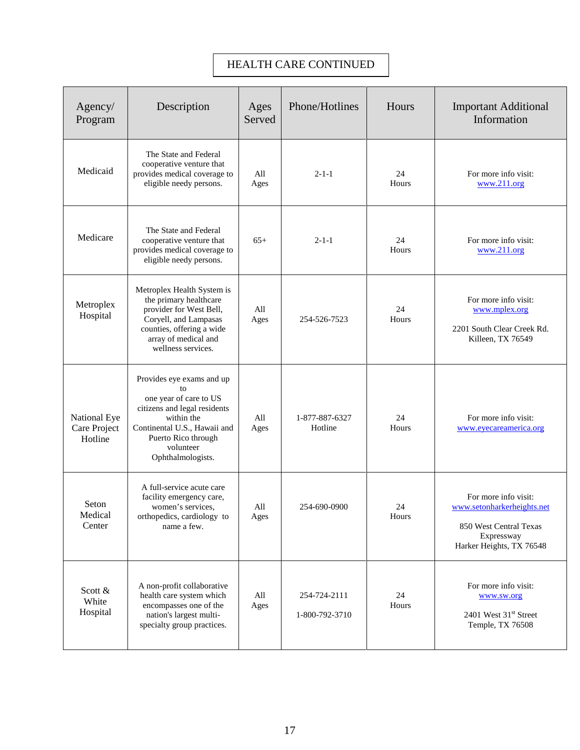### HEALTH CARE CONTINUED

| Agency/<br>Program                      | Description                                                                                                                                                                                      | Ages<br>Served                      | Phone/Hotlines                 | Hours       | <b>Important Additional</b><br>Information                                                                             |
|-----------------------------------------|--------------------------------------------------------------------------------------------------------------------------------------------------------------------------------------------------|-------------------------------------|--------------------------------|-------------|------------------------------------------------------------------------------------------------------------------------|
| Medicaid                                | The State and Federal<br>cooperative venture that<br>provides medical coverage to<br>eligible needy persons.                                                                                     | All<br>Ages                         | $2 - 1 - 1$                    | 24<br>Hours | For more info visit:<br>www.211.org                                                                                    |
| Medicare                                | The State and Federal<br>cooperative venture that<br>provides medical coverage to<br>eligible needy persons.                                                                                     | $65+$                               | $2 - 1 - 1$                    | 24<br>Hours | For more info visit:<br>www.211.org                                                                                    |
| Metroplex<br>Hospital                   | Metroplex Health System is<br>the primary healthcare<br>provider for West Bell,<br>Coryell, and Lampasas<br>counties, offering a wide<br>array of medical and<br>wellness services.              | All<br>Ages                         | 254-526-7523                   | 24<br>Hours | For more info visit:<br>www.mplex.org<br>2201 South Clear Creek Rd.<br>Killeen, TX 76549                               |
| National Eye<br>Care Project<br>Hotline | Provides eye exams and up<br>to<br>one year of care to US<br>citizens and legal residents<br>within the<br>Continental U.S., Hawaii and<br>Puerto Rico through<br>volunteer<br>Ophthalmologists. | All<br>Ages                         | 1-877-887-6327<br>Hotline      | 24<br>Hours | For more info visit:<br>www.eyecareamerica.org                                                                         |
| Seton<br>Medical<br>Center              | A full-service acute care<br>facility emergency care,<br>women's services,<br>orthopedics, cardiology to<br>name a few.                                                                          | $\mathop{\rm All}\nolimits$<br>Ages | 254-690-0900                   | 24<br>Hours | For more info visit:<br>www.setonharkerheights.net<br>850 West Central Texas<br>Expressway<br>Harker Heights, TX 76548 |
| Scott $\&$<br>White<br>Hospital         | A non-profit collaborative<br>health care system which<br>encompasses one of the<br>nation's largest multi-<br>specialty group practices.                                                        | All<br>Ages                         | 254-724-2111<br>1-800-792-3710 | 24<br>Hours | For more info visit:<br>www.sw.org<br>2401 West 31 <sup>st</sup> Street<br>Temple, TX 76508                            |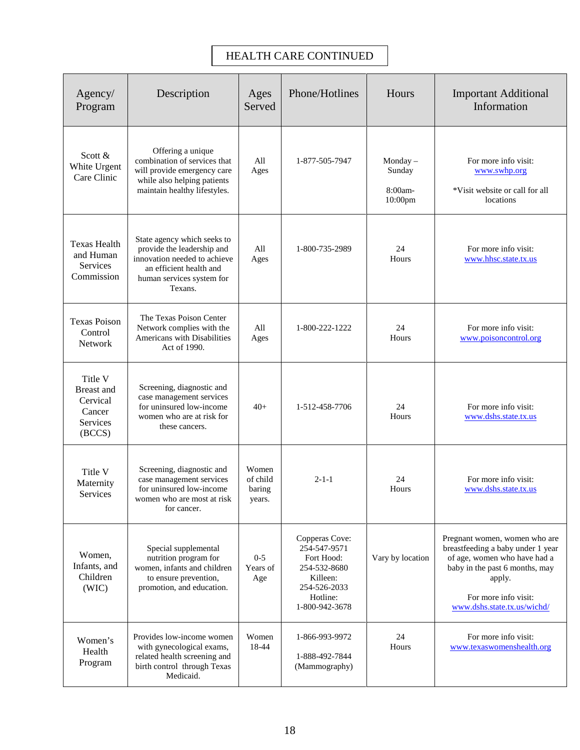#### HEALTH CARE CONTINUED

| Agency/<br>Program                                                       | Description                                                                                                                                                  | Ages<br>Served                        | Phone/Hotlines                                                                                                         | Hours                                      | <b>Important Additional</b><br>Information                                                                                                                                                            |
|--------------------------------------------------------------------------|--------------------------------------------------------------------------------------------------------------------------------------------------------------|---------------------------------------|------------------------------------------------------------------------------------------------------------------------|--------------------------------------------|-------------------------------------------------------------------------------------------------------------------------------------------------------------------------------------------------------|
| Scott $&$<br>White Urgent<br>Care Clinic                                 | Offering a unique<br>combination of services that<br>will provide emergency care<br>while also helping patients<br>maintain healthy lifestyles.              | All<br>Ages                           | 1-877-505-7947                                                                                                         | Monday $-$<br>Sunday<br>8:00am-<br>10:00pm | For more info visit:<br>www.swhp.org<br>*Visit website or call for all<br>locations                                                                                                                   |
| <b>Texas Health</b><br>and Human<br>Services<br>Commission               | State agency which seeks to<br>provide the leadership and<br>innovation needed to achieve<br>an efficient health and<br>human services system for<br>Texans. | All<br>Ages                           | 1-800-735-2989                                                                                                         | 24<br>Hours                                | For more info visit:<br>www.hhsc.state.tx.us                                                                                                                                                          |
| <b>Texas Poison</b><br>Control<br>Network                                | The Texas Poison Center<br>Network complies with the<br>Americans with Disabilities<br>Act of 1990.                                                          | All<br>Ages                           | 1-800-222-1222                                                                                                         | 24<br>Hours                                | For more info visit:<br>www.poisoncontrol.org                                                                                                                                                         |
| Title V<br><b>Breast</b> and<br>Cervical<br>Cancer<br>Services<br>(BCCS) | Screening, diagnostic and<br>case management services<br>for uninsured low-income<br>women who are at risk for<br>these cancers.                             | $40+$                                 | 1-512-458-7706                                                                                                         | 24<br>Hours                                | For more info visit:<br>www.dshs.state.tx.us                                                                                                                                                          |
| Title V<br>Maternity<br>Services                                         | Screening, diagnostic and<br>case management services<br>for uninsured low-income<br>women who are most at risk<br>for cancer.                               | Women<br>of child<br>baring<br>years. | $2 - 1 - 1$                                                                                                            | 24<br>Hours                                | For more info visit:<br>www.dshs.state.tx.us                                                                                                                                                          |
| Women,<br>Infants, and<br>Children<br>(WIC)                              | Special supplemental<br>nutrition program for<br>women, infants and children<br>to ensure prevention,<br>promotion, and education.                           | $0 - 5$<br>Years of<br>Age            | Copperas Cove:<br>254-547-9571<br>Fort Hood:<br>254-532-8680<br>Killeen:<br>254-526-2033<br>Hotline:<br>1-800-942-3678 | Vary by location                           | Pregnant women, women who are<br>breastfeeding a baby under 1 year<br>of age, women who have had a<br>baby in the past 6 months, may<br>apply.<br>For more info visit:<br>www.dshs.state.tx.us/wichd/ |
| Women's<br>Health<br>Program                                             | Provides low-income women<br>with gynecological exams,<br>related health screening and<br>birth control through Texas<br>Medicaid.                           | Women<br>18-44                        | 1-866-993-9972<br>1-888-492-7844<br>(Mammography)                                                                      | 24<br>Hours                                | For more info visit:<br>www.texaswomenshealth.org                                                                                                                                                     |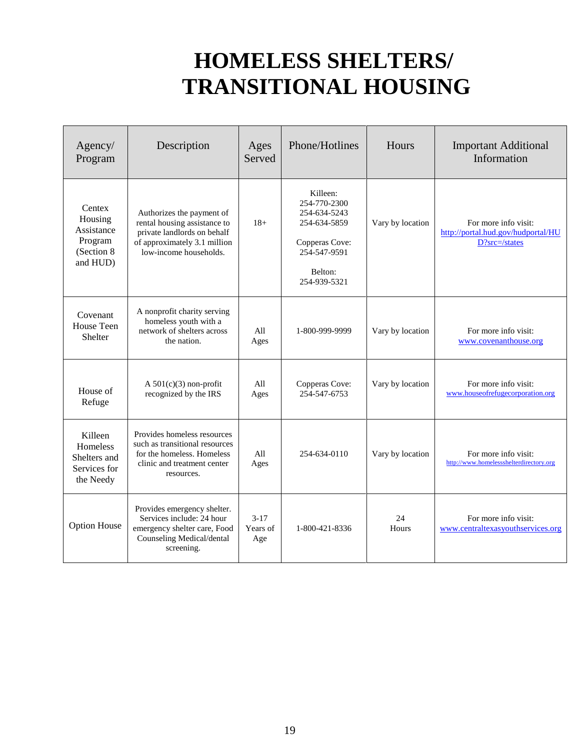### **HOMELESS SHELTERS/ TRANSITIONAL HOUSING**

| Agency/<br>Program                                                    | Description                                                                                                                                        | Ages<br>Served              | Phone/Hotlines                                                                                                        | Hours            | <b>Important Additional</b><br>Information                                  |
|-----------------------------------------------------------------------|----------------------------------------------------------------------------------------------------------------------------------------------------|-----------------------------|-----------------------------------------------------------------------------------------------------------------------|------------------|-----------------------------------------------------------------------------|
| Centex<br>Housing<br>Assistance<br>Program<br>(Section 8)<br>and HUD) | Authorizes the payment of<br>rental housing assistance to<br>private landlords on behalf<br>of approximately 3.1 million<br>low-income households. | $18+$                       | Killeen:<br>254-770-2300<br>254-634-5243<br>254-634-5859<br>Copperas Cove:<br>254-547-9591<br>Belton:<br>254-939-5321 | Vary by location | For more info visit:<br>http://portal.hud.gov/hudportal/HU<br>D?src=/states |
| Covenant<br>House Teen<br>Shelter                                     | A nonprofit charity serving<br>homeless youth with a<br>network of shelters across<br>the nation.                                                  | All<br>Ages                 | 1-800-999-9999                                                                                                        | Vary by location | For more info visit:<br>www.covenanthouse.org                               |
| House of<br>Refuge                                                    | A $501(c)(3)$ non-profit<br>recognized by the IRS                                                                                                  | All<br>Ages                 | Copperas Cove:<br>254-547-6753                                                                                        | Vary by location | For more info visit:<br>www.houseofrefugecorporation.org                    |
| Killeen<br>Homeless<br>Shelters and<br>Services for<br>the Needy      | Provides homeless resources<br>such as transitional resources<br>for the homeless. Homeless<br>clinic and treatment center<br>resources.           | All<br>Ages                 | 254-634-0110                                                                                                          | Vary by location | For more info visit:<br>http://www.homelessshelterdirectory.org             |
| <b>Option House</b>                                                   | Provides emergency shelter.<br>Services include: 24 hour<br>emergency shelter care, Food<br>Counseling Medical/dental<br>screening.                | $3 - 17$<br>Years of<br>Age | 1-800-421-8336                                                                                                        | 24<br>Hours      | For more info visit:<br>www.centraltexasyouthservices.org                   |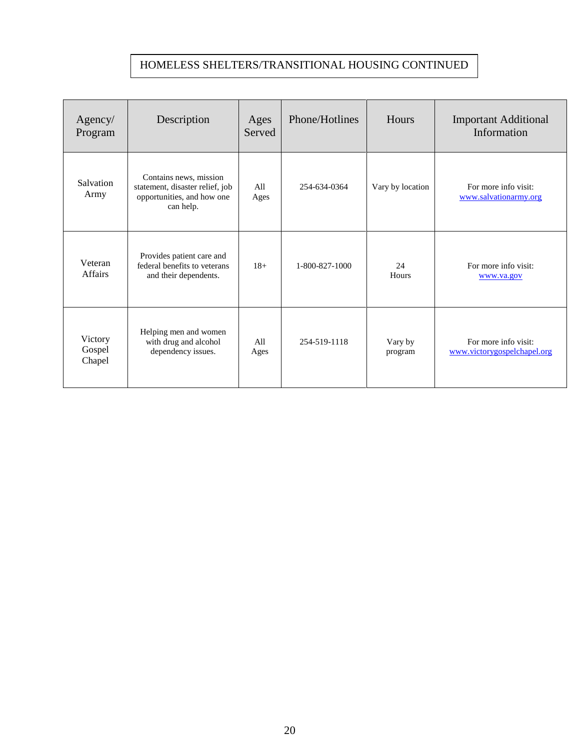### HOMELESS SHELTERS/TRANSITIONAL HOUSING CONTINUED

| Agency/<br>Program          | Description                                                                                          | Ages<br>Served | Phone/Hotlines | Hours              | <b>Important Additional</b><br>Information          |
|-----------------------------|------------------------------------------------------------------------------------------------------|----------------|----------------|--------------------|-----------------------------------------------------|
| Salvation<br>Army           | Contains news, mission<br>statement, disaster relief, job<br>opportunities, and how one<br>can help. | All<br>Ages    | 254-634-0364   | Vary by location   | For more info visit:<br>www.salvationarmy.org       |
| Veteran<br>Affairs          | Provides patient care and<br>federal benefits to veterans<br>and their dependents.                   | $18+$          | 1-800-827-1000 | 24<br>Hours        | For more info visit:<br>www.va.gov                  |
| Victory<br>Gospel<br>Chapel | Helping men and women<br>with drug and alcohol<br>dependency issues.                                 | All<br>Ages    | 254-519-1118   | Vary by<br>program | For more info visit:<br>www.victorygospelchapel.org |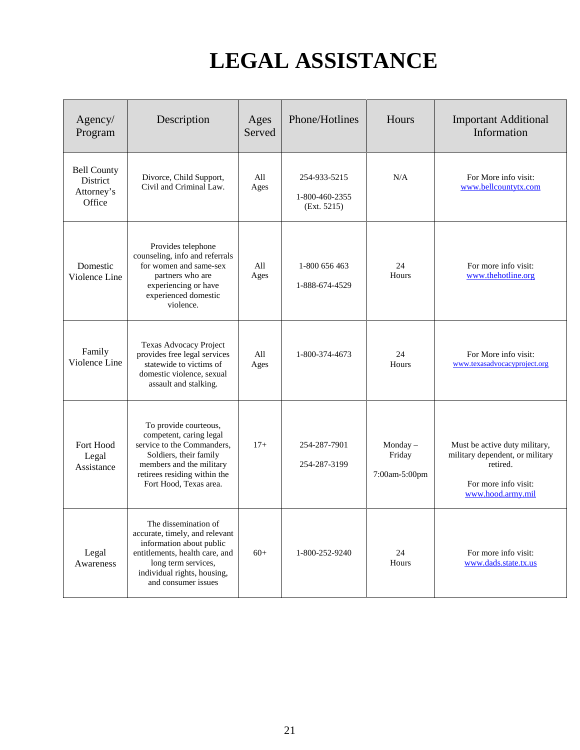# **LEGAL ASSISTANCE**

| Agency/<br>Program                                     | Description                                                                                                                                                                                       | Ages<br>Served | Phone/Hotlines                                | Hours                                 | <b>Important Additional</b><br>Information                                                                                |
|--------------------------------------------------------|---------------------------------------------------------------------------------------------------------------------------------------------------------------------------------------------------|----------------|-----------------------------------------------|---------------------------------------|---------------------------------------------------------------------------------------------------------------------------|
| <b>Bell County</b><br>District<br>Attorney's<br>Office | Divorce, Child Support,<br>Civil and Criminal Law.                                                                                                                                                | All<br>Ages    | 254-933-5215<br>1-800-460-2355<br>(Ext. 5215) | N/A                                   | For More info visit:<br>www.bellcountytx.com                                                                              |
| Domestic<br>Violence Line                              | Provides telephone<br>counseling, info and referrals<br>for women and same-sex<br>partners who are<br>experiencing or have<br>experienced domestic<br>violence.                                   | All<br>Ages    | 1-800 656 463<br>1-888-674-4529               | 24<br>Hours                           | For more info visit:<br>www.thehotline.org                                                                                |
| Family<br>Violence Line                                | Texas Advocacy Project<br>provides free legal services<br>statewide to victims of<br>domestic violence, sexual<br>assault and stalking.                                                           | All<br>Ages    | 1-800-374-4673                                | 24<br>Hours                           | For More info visit:<br>www.texasadvocacyproject.org                                                                      |
| Fort Hood<br>Legal<br>Assistance                       | To provide courteous,<br>competent, caring legal<br>service to the Commanders,<br>Soldiers, their family<br>members and the military<br>retirees residing within the<br>Fort Hood, Texas area.    | $17+$          | 254-287-7901<br>254-287-3199                  | Monday $-$<br>Friday<br>7:00am-5:00pm | Must be active duty military,<br>military dependent, or military<br>retired.<br>For more info visit:<br>www.hood.army.mil |
| Legal<br>Awareness                                     | The dissemination of<br>accurate, timely, and relevant<br>information about public<br>entitlements, health care, and<br>long term services,<br>individual rights, housing,<br>and consumer issues | $60+$          | 1-800-252-9240                                | 24<br>Hours                           | For more info visit:<br>www.dads.state.tx.us                                                                              |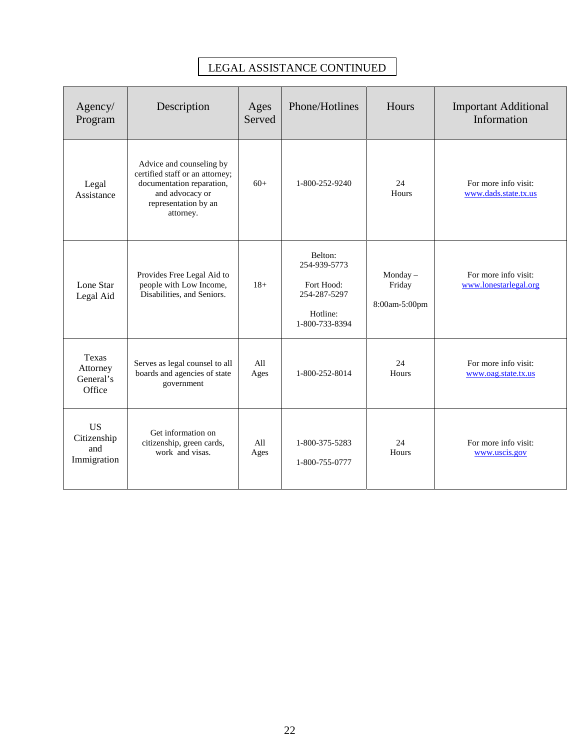| Agency/<br>Program                             | Description                                                                                                                                      | Ages<br>Served | Phone/Hotlines                                                                      | Hours                                 | <b>Important Additional</b><br>Information    |
|------------------------------------------------|--------------------------------------------------------------------------------------------------------------------------------------------------|----------------|-------------------------------------------------------------------------------------|---------------------------------------|-----------------------------------------------|
| Legal<br>Assistance                            | Advice and counseling by<br>certified staff or an attorney;<br>documentation reparation,<br>and advocacy or<br>representation by an<br>attorney. | $60+$          | 1-800-252-9240                                                                      | 24<br>Hours                           | For more info visit:<br>www.dads.state.tx.us  |
| Lone Star<br>Legal Aid                         | Provides Free Legal Aid to<br>people with Low Income,<br>Disabilities, and Seniors.                                                              | $18+$          | Belton:<br>254-939-5773<br>Fort Hood:<br>254-287-5297<br>Hotline:<br>1-800-733-8394 | Monday $-$<br>Friday<br>8:00am-5:00pm | For more info visit:<br>www.lonestarlegal.org |
| Texas<br>Attorney<br>General's<br>Office       | Serves as legal counsel to all<br>boards and agencies of state<br>government                                                                     | All<br>Ages    | 1-800-252-8014                                                                      | 24<br>Hours                           | For more info visit:<br>www.oag.state.tx.us   |
| <b>US</b><br>Citizenship<br>and<br>Immigration | Get information on<br>citizenship, green cards,<br>work and visas.                                                                               | All<br>Ages    | 1-800-375-5283<br>1-800-755-0777                                                    | 24<br>Hours                           | For more info visit:<br>www.uscis.gov         |

#### LEGAL ASSISTANCE CONTINUED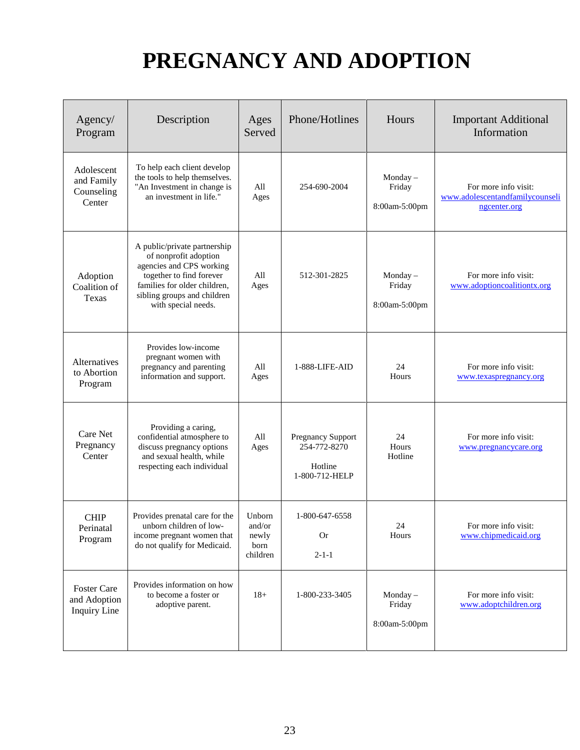# **PREGNANCY AND ADOPTION**

| Agency/<br>Program                                        | Description                                                                                                                                                                                         | Ages<br>Served                                | Phone/Hotlines                                                        | Hours                                 | <b>Important Additional</b><br>Information                              |
|-----------------------------------------------------------|-----------------------------------------------------------------------------------------------------------------------------------------------------------------------------------------------------|-----------------------------------------------|-----------------------------------------------------------------------|---------------------------------------|-------------------------------------------------------------------------|
| Adolescent<br>and Family<br>Counseling<br>Center          | To help each client develop<br>the tools to help themselves.<br>"An Investment in change is<br>an investment in life."                                                                              | All<br>Ages                                   | 254-690-2004                                                          | Monday $-$<br>Friday<br>8:00am-5:00pm | For more info visit:<br>www.adolescentandfamilycounseli<br>ngcenter.org |
| Adoption<br>Coalition of<br>Texas                         | A public/private partnership<br>of nonprofit adoption<br>agencies and CPS working<br>together to find forever<br>families for older children,<br>sibling groups and children<br>with special needs. | All<br>Ages                                   | 512-301-2825                                                          | Monday $-$<br>Friday<br>8:00am-5:00pm | For more info visit:<br>www.adoptioncoalitiontx.org                     |
| Alternatives<br>to Abortion<br>Program                    | Provides low-income<br>pregnant women with<br>pregnancy and parenting<br>information and support.                                                                                                   | All<br>Ages                                   | 1-888-LIFE-AID                                                        | 24<br>Hours                           | For more info visit:<br>www.texaspregnancy.org                          |
| Care Net<br>Pregnancy<br>Center                           | Providing a caring,<br>confidential atmosphere to<br>discuss pregnancy options<br>and sexual health, while<br>respecting each individual                                                            | All<br>Ages                                   | <b>Pregnancy Support</b><br>254-772-8270<br>Hotline<br>1-800-712-HELP | 24<br>Hours<br>Hotline                | For more info visit:<br>www.pregnancycare.org                           |
| <b>CHIP</b><br>Perinatal<br>Program                       | Provides prenatal care for the<br>unborn children of low-<br>income pregnant women that<br>do not qualify for Medicaid.                                                                             | Unborn<br>and/or<br>newly<br>born<br>children | 1-800-647-6558<br><b>Or</b><br>$2 - 1 - 1$                            | 24<br>Hours                           | For more info visit:<br>www.chipmedicaid.org                            |
| <b>Foster Care</b><br>and Adoption<br><b>Inquiry Line</b> | Provides information on how<br>to become a foster or<br>adoptive parent.                                                                                                                            | $18+$                                         | 1-800-233-3405                                                        | Monday $-$<br>Friday<br>8:00am-5:00pm | For more info visit:<br>www.adoptchildren.org                           |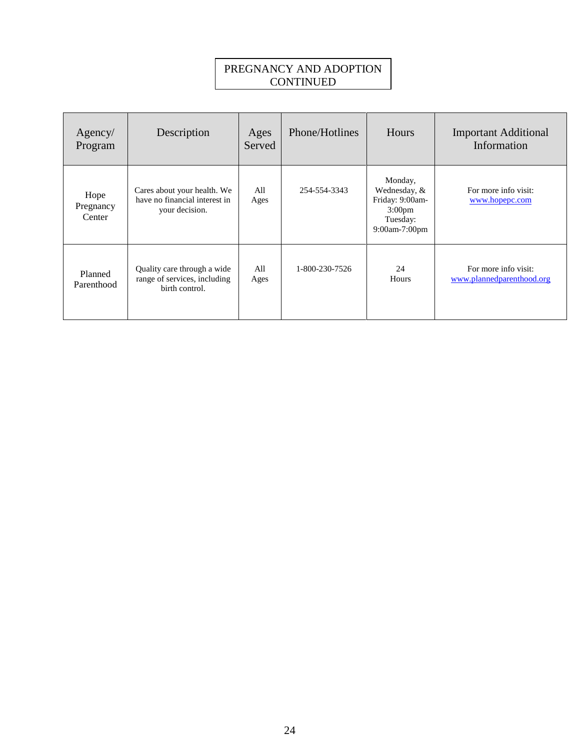#### PREGNANCY AND ADOPTION CONTINUED

| Agency/<br>Program          | Description                                                                    | Ages<br>Served | Phone/Hotlines | Hours                                                                                         | <b>Important Additional</b><br>Information        |
|-----------------------------|--------------------------------------------------------------------------------|----------------|----------------|-----------------------------------------------------------------------------------------------|---------------------------------------------------|
| Hope<br>Pregnancy<br>Center | Cares about your health. We<br>have no financial interest in<br>your decision. | All<br>Ages    | 254-554-3343   | Monday,<br>Wednesday, &<br>Friday: 9:00am-<br>3:00 <sub>pm</sub><br>Tuesday:<br>9:00am-7:00pm | For more info visit:<br>www.hopepc.com            |
| Planned<br>Parenthood       | Quality care through a wide<br>range of services, including<br>birth control.  | All<br>Ages    | 1-800-230-7526 | 24<br>Hours                                                                                   | For more info visit:<br>www.plannedparenthood.org |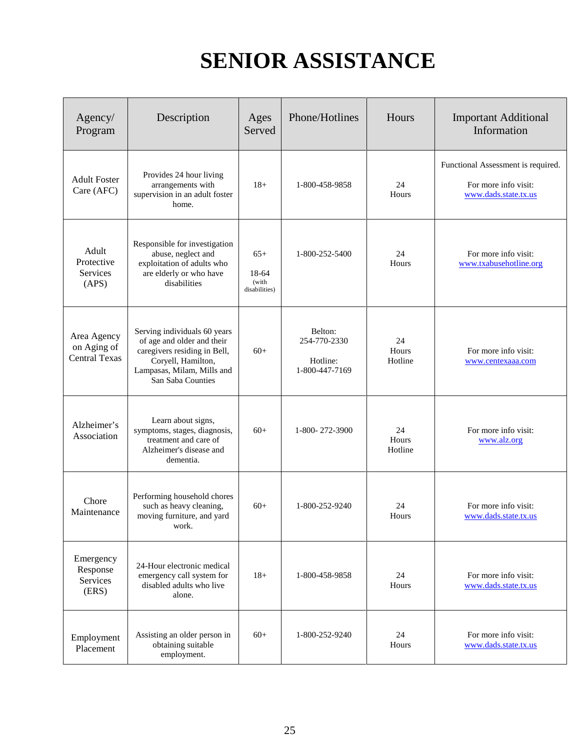### **SENIOR ASSISTANCE**

| Agency/<br>Program                                 | Description                                                                                                                                                         | Ages<br>Served                           | Phone/Hotlines                                        | Hours                  | <b>Important Additional</b><br>Information                                         |
|----------------------------------------------------|---------------------------------------------------------------------------------------------------------------------------------------------------------------------|------------------------------------------|-------------------------------------------------------|------------------------|------------------------------------------------------------------------------------|
| <b>Adult Foster</b><br>Care (AFC)                  | Provides 24 hour living<br>arrangements with<br>supervision in an adult foster<br>home.                                                                             | $18+$                                    | 1-800-458-9858                                        | 24<br>Hours            | Functional Assessment is required.<br>For more info visit:<br>www.dads.state.tx.us |
| Adult<br>Protective<br>Services<br>(APS)           | Responsible for investigation<br>abuse, neglect and<br>exploitation of adults who<br>are elderly or who have<br>disabilities                                        | $65+$<br>18-64<br>(with<br>disabilities) | 1-800-252-5400                                        | 24<br>Hours            | For more info visit:<br>www.txabusehotline.org                                     |
| Area Agency<br>on Aging of<br><b>Central Texas</b> | Serving individuals 60 years<br>of age and older and their<br>caregivers residing in Bell,<br>Coryell, Hamilton,<br>Lampasas, Milam, Mills and<br>San Saba Counties | $60+$                                    | Belton:<br>254-770-2330<br>Hotline:<br>1-800-447-7169 | 24<br>Hours<br>Hotline | For more info visit:<br>www.centexaaa.com                                          |
| Alzheimer's<br>Association                         | Learn about signs,<br>symptoms, stages, diagnosis,<br>treatment and care of<br>Alzheimer's disease and<br>dementia.                                                 | $60+$                                    | 1-800-272-3900                                        | 24<br>Hours<br>Hotline | For more info visit:<br>www.alz.org                                                |
| Chore<br>Maintenance                               | Performing household chores<br>such as heavy cleaning,<br>moving furniture, and yard<br>work.                                                                       | $60+$                                    | 1-800-252-9240                                        | 24<br>Hours            | For more info visit:<br>www.dads.state.tx.us                                       |
| Emergency<br>Response<br>Services<br>(ERS)         | 24-Hour electronic medical<br>emergency call system for<br>disabled adults who live<br>alone.                                                                       | $18+$                                    | 1-800-458-9858                                        | 24<br>Hours            | For more info visit:<br>www.dads.state.tx.us                                       |
| Employment<br>Placement                            | Assisting an older person in<br>obtaining suitable<br>employment.                                                                                                   | $60+$                                    | 1-800-252-9240                                        | 24<br>Hours            | For more info visit:<br>www.dads.state.tx.us                                       |